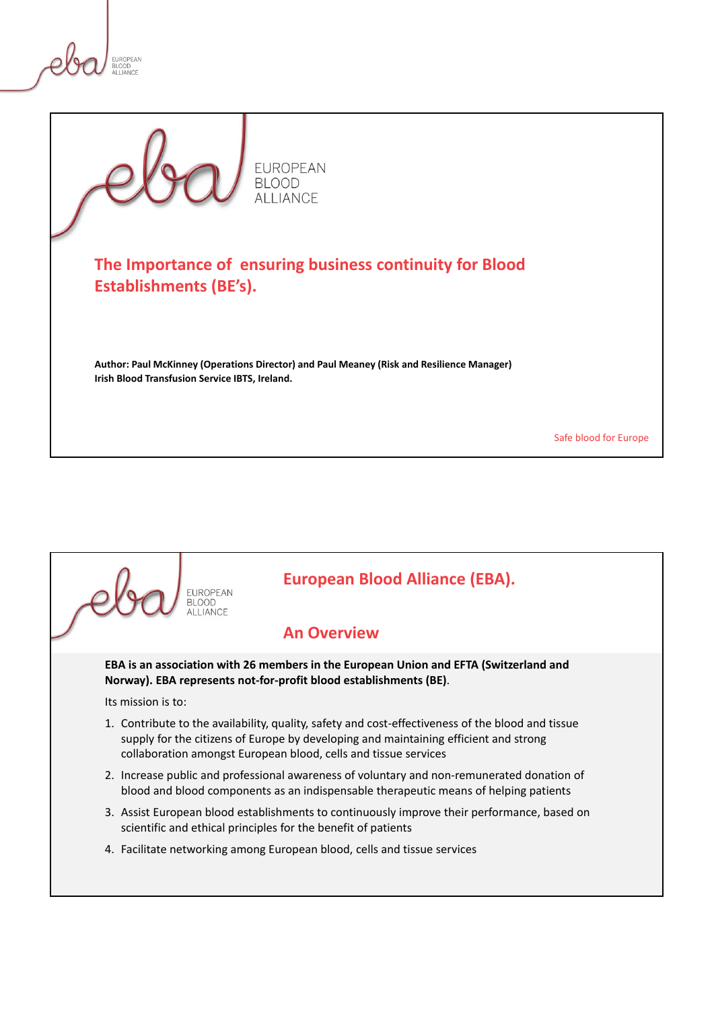

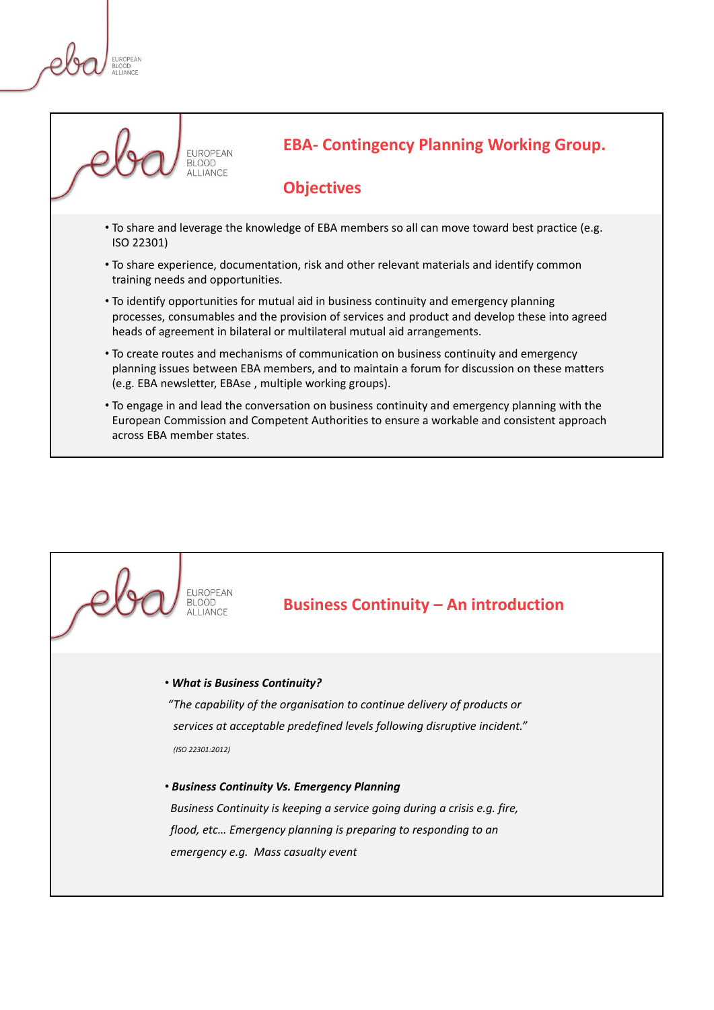**FLIROPEAN** 



**EBA- Contingency Planning Working Group.** 

#### **Objectives**

- To share and leverage the knowledge of EBA members so all can move toward best practice (e.g. ISO 22301)
- To share experience, documentation, risk and other relevant materials and identify common training needs and opportunities.
- To identify opportunities for mutual aid in business continuity and emergency planning processes, consumables and the provision of services and product and develop these into agreed heads of agreement in bilateral or multilateral mutual aid arrangements.
- To create routes and mechanisms of communication on business continuity and emergency planning issues between EBA members, and to maintain a forum for discussion on these matters (e.g. EBA newsletter, EBAse , multiple working groups).
- To engage in and lead the conversation on business continuity and emergency planning with the European Commission and Competent Authorities to ensure a workable and consistent approach across EBA member states.

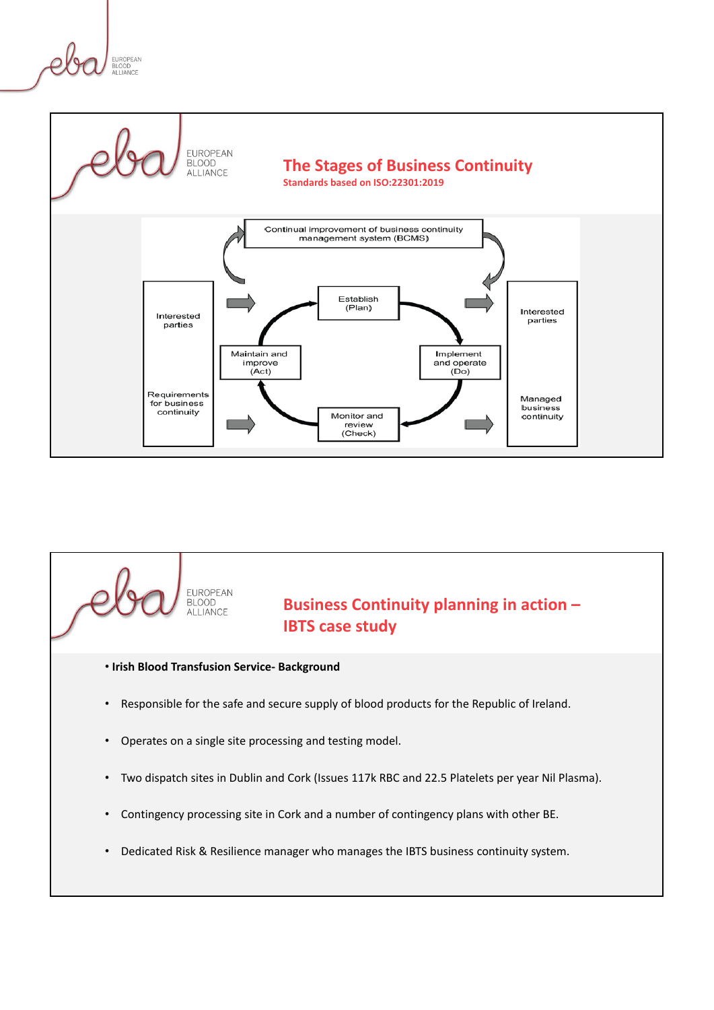





- Two dispatch sites in Dublin and Cork (Issues 117k RBC and 22.5 Platelets per year Nil Plasma).
- Contingency processing site in Cork and a number of contingency plans with other BE.
- Dedicated Risk & Resilience manager who manages the IBTS business continuity system.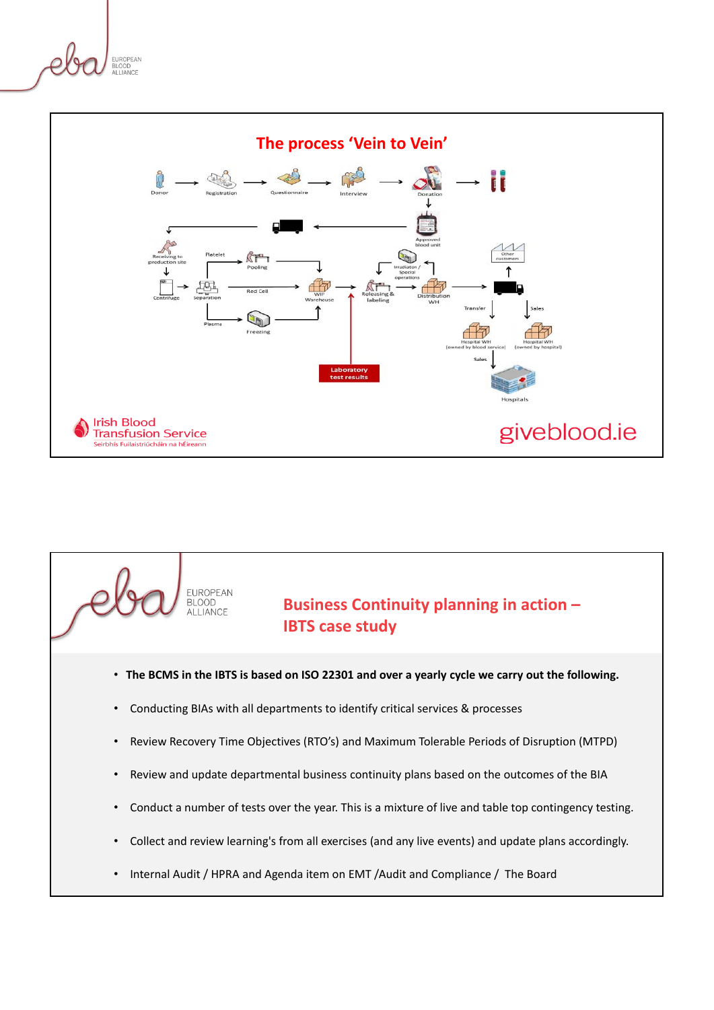



# **Business Continuity planning in action – IBTS case study**

- **The BCMS in the IBTS is based on ISO 22301 and over a yearly cycle we carry out the following.**
- Conducting BIAs with all departments to identify critical services & processes

EUROPEAN<br>BLOOD ALLIANCE

- Review Recovery Time Objectives (RTO's) and Maximum Tolerable Periods of Disruption (MTPD)
- Review and update departmental business continuity plans based on the outcomes of the BIA
- Conduct a number of tests over the year. This is a mixture of live and table top contingency testing.
- Collect and review learning's from all exercises (and any live events) and update plans accordingly.
- Internal Audit / HPRA and Agenda item on EMT /Audit and Compliance / The Board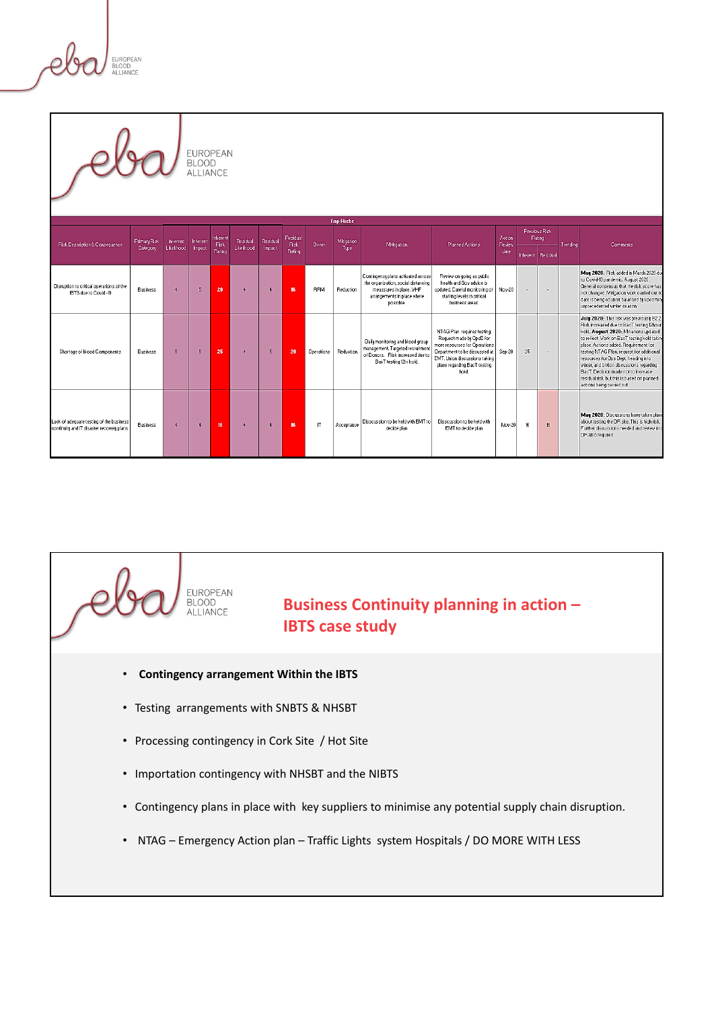FUROPEAN **BLUUD**<br>ALLIANCE

EUROPEAN **BLOOD** ALLIANCE **Top Risks** Previous Risk<br>Rating Action<br>Review<br>date .<br>• First Description & Consequence Primary Fisk Inherent Inherent Presidual Piesidual Piesidual Piesidual<br>• Fising Likelihood Impact Pasing Likelihood Impact Pianing Likelihood Impact Pasing Mitigation<br>Tupe Planned Actions Mititeation Comments nherent Residual May 2020: Risk added in March 2020 due<br>to Could-19 pandemic. August 2020:<br>General consensus that the risk score has<br>not changed. Miligation work carried out to<br>date is being counter balanced by upcoming<br>unprecedented winte Contingency plans activated across<br>the organisation, social distancing<br>meassures in place. WHF<br>arrangements in place where<br>possible. Review on going as public<br>health and Gov advice is<br>pdated. Careful monitoring o<br>staffing levels in critical<br>business areas. Disruption to critical operations of the<br>IBTS due to Covid -19 Busines:  $\overline{A}$  $\overline{5}$  $\overline{20}$  $\overline{4}$  $\ddot{\phantom{1}}$ 16 **BRM Reductio** Nov-20 J. July 2020: This risk was previously B2.2<br>Risk increased due to BacT testing 12hour<br>hold. August 2020: Mitiations updated<br>to reflect Work on BacT testing hold takin NTAG Plan requires testing.<br>Request made by OpsD for<br>more resources for Operations<br>Department to be discussed at<br>EMT. Union discussions taking<br>place regarding BacT testing<br>hold. Daily monitoring and blood group<br>management. Targeted recruitment<br>of Donors. Risk increased due to to reflect Vorix on BaoT testing hold taking<br>place. Actions added: Requirement for<br>testing NTAG Plan, request for additional<br>resources for Ops Dept, heading into<br>winter, and Uniton discussions regarding<br>BaoT. Decision made Shortage of blood Components  $\overline{5}$  $\overline{25}$  $\overline{4}$  $\bar{\mathbf{5}}$  $\overline{20}$  $^{25}$ Business  $\overline{5}$ Operations Reduction Sep-20 ÷. BacT testing 12hr hold. May 2020: Discussions have taken place<br>about testing the DR site. This is high risk.<br>Further discussions needed and review into<br>DR also required .ack of adequate testing of the busines:<br>:ontinuity and IT disaster recovery plans Dissoussion to be held with EMT to Dissoussion to be held with<br>EMT to decide plan **Business**  $\ddot{\phantom{1}}$  $\ddot{\phantom{1}}$ 16 4  $\bar{4}$  $\mathsf{I}$  $Nov-20$  $16$  $16^{\circ}$ .<br>Acceptance decide plan

## **Business Continuity planning in action – IBTS case study**

• **Contingency arrangement Within the IBTS** 

EUROPEAN **BLOOD** ALLIANCE

- Testing arrangements with SNBTS & NHSBT
- Processing contingency in Cork Site / Hot Site
- Importation contingency with NHSBT and the NIBTS
- Contingency plans in place with key suppliers to minimise any potential supply chain disruption.
- NTAG Emergency Action plan Traffic Lights system Hospitals / DO MORE WITH LESS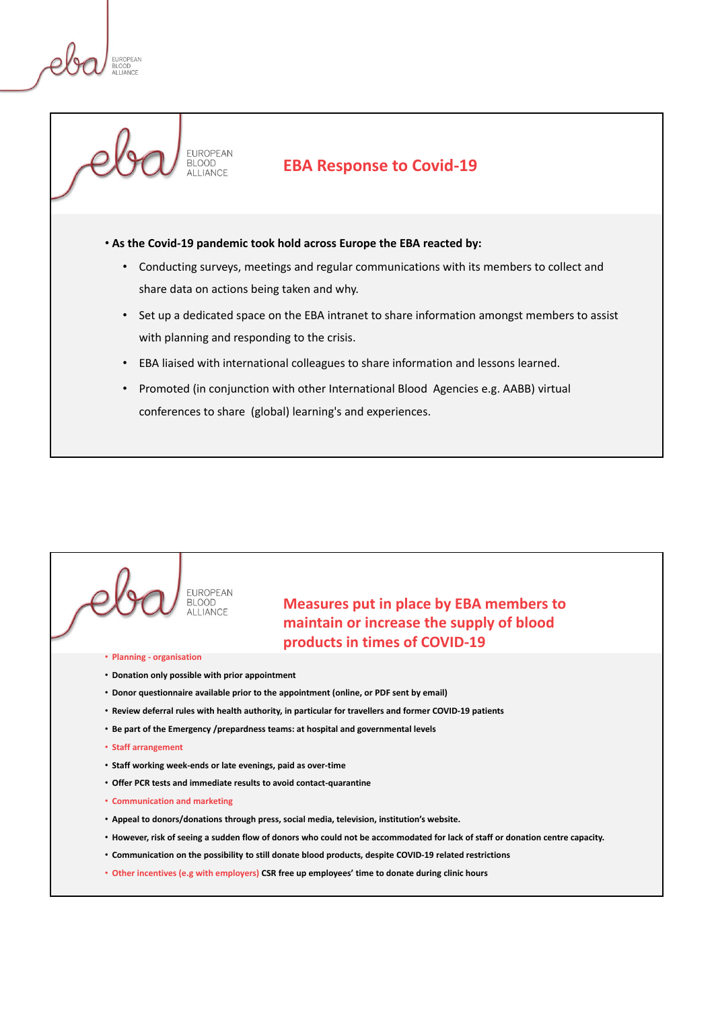

#### **EBA Response to Covid-19**

- **As the Covid-19 pandemic took hold across Europe the EBA reacted by:** 
	- Conducting surveys, meetings and regular communications with its members to collect and share data on actions being taken and why.
	- Set up a dedicated space on the EBA intranet to share information amongst members to assist with planning and responding to the crisis.
	- EBA liaised with international colleagues to share information and lessons learned.
	- Promoted (in conjunction with other International Blood Agencies e.g. AABB) virtual conferences to share (global) learning's and experiences.

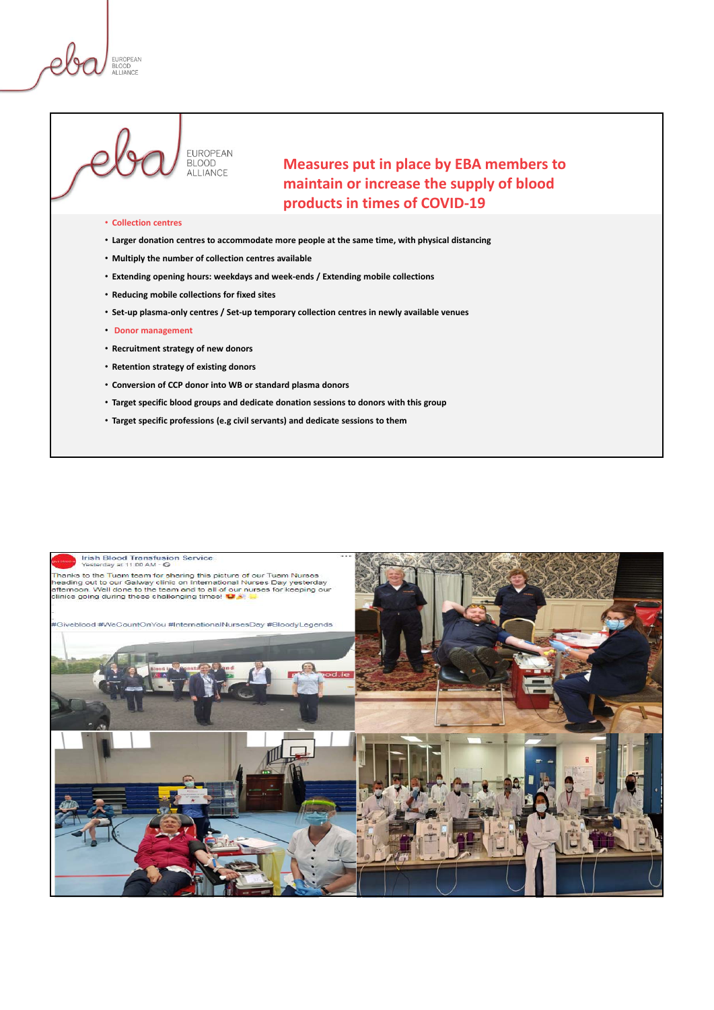FUROPEAN



**Measures put in place by EBA members to maintain or increase the supply of blood products in times of COVID-19**

#### • **Collection centres**

- **Larger donation centres to accommodate more people at the same time, with physical distancing**
- **Multiply the number of collection centres available**

ALLIANCE

- **Extending opening hours: weekdays and week-ends / Extending mobile collections**
- **Reducing mobile collections for fixed sites**
- **Set-up plasma-only centres / Set-up temporary collection centres in newly available venues**
- **Donor management**
- **Recruitment strategy of new donors**
- **Retention strategy of existing donors**
- **Conversion of CCP donor into WB or standard plasma donors**
- **Target specific blood groups and dedicate donation sessions to donors with this group**
- **Target specific professions (e.g civil servants) and dedicate sessions to them**